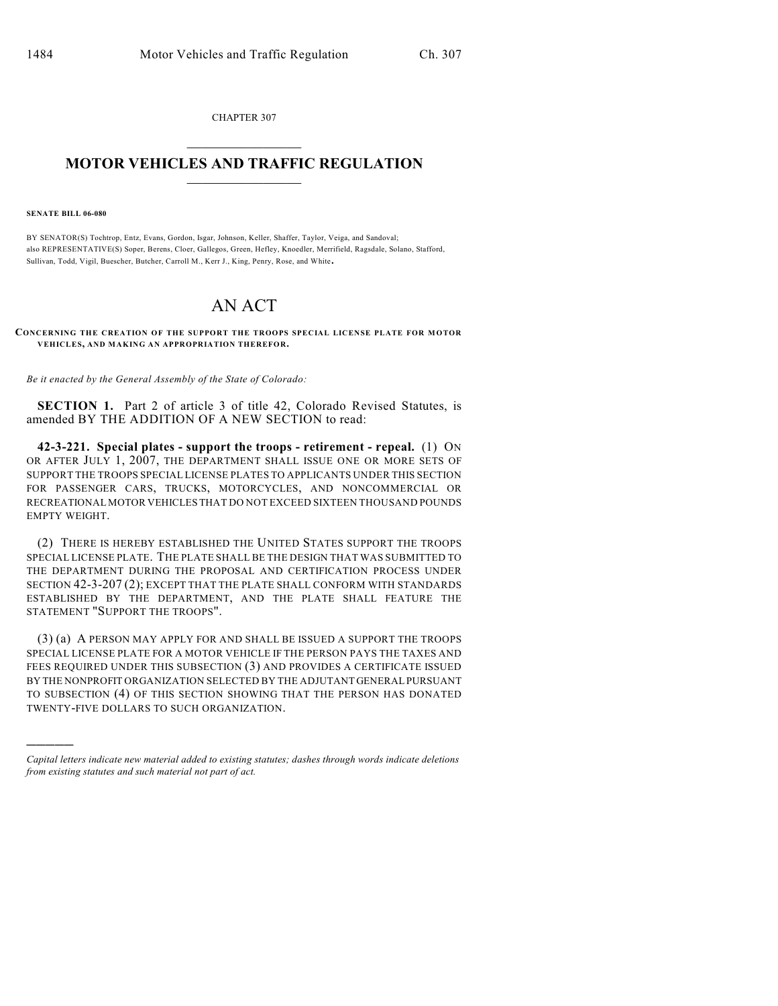CHAPTER 307

## $\mathcal{L}_\text{max}$  . The set of the set of the set of the set of the set of the set of the set of the set of the set of the set of the set of the set of the set of the set of the set of the set of the set of the set of the set **MOTOR VEHICLES AND TRAFFIC REGULATION**  $\frac{1}{2}$  ,  $\frac{1}{2}$  ,  $\frac{1}{2}$  ,  $\frac{1}{2}$  ,  $\frac{1}{2}$  ,  $\frac{1}{2}$  ,  $\frac{1}{2}$  ,  $\frac{1}{2}$

## **SENATE BILL 06-080**

)))))

BY SENATOR(S) Tochtrop, Entz, Evans, Gordon, Isgar, Johnson, Keller, Shaffer, Taylor, Veiga, and Sandoval; also REPRESENTATIVE(S) Soper, Berens, Cloer, Gallegos, Green, Hefley, Knoedler, Merrifield, Ragsdale, Solano, Stafford, Sullivan, Todd, Vigil, Buescher, Butcher, Carroll M., Kerr J., King, Penry, Rose, and White.

## AN ACT

## **CONCERNING THE CREATION OF THE SUPPORT THE TROOPS SPECIAL LICENSE PLATE FOR MOTOR VEHICLES, AND MAKING AN APPROPRIATION THEREFOR.**

*Be it enacted by the General Assembly of the State of Colorado:*

**SECTION 1.** Part 2 of article 3 of title 42, Colorado Revised Statutes, is amended BY THE ADDITION OF A NEW SECTION to read:

**42-3-221. Special plates - support the troops - retirement - repeal.** (1) ON OR AFTER JULY 1, 2007, THE DEPARTMENT SHALL ISSUE ONE OR MORE SETS OF SUPPORT THE TROOPS SPECIAL LICENSE PLATES TO APPLICANTS UNDER THIS SECTION FOR PASSENGER CARS, TRUCKS, MOTORCYCLES, AND NONCOMMERCIAL OR RECREATIONAL MOTOR VEHICLES THAT DO NOT EXCEED SIXTEEN THOUSAND POUNDS EMPTY WEIGHT.

(2) THERE IS HEREBY ESTABLISHED THE UNITED STATES SUPPORT THE TROOPS SPECIAL LICENSE PLATE. THE PLATE SHALL BE THE DESIGN THAT WAS SUBMITTED TO THE DEPARTMENT DURING THE PROPOSAL AND CERTIFICATION PROCESS UNDER SECTION 42-3-207 (2); EXCEPT THAT THE PLATE SHALL CONFORM WITH STANDARDS ESTABLISHED BY THE DEPARTMENT, AND THE PLATE SHALL FEATURE THE STATEMENT "SUPPORT THE TROOPS".

(3) (a) A PERSON MAY APPLY FOR AND SHALL BE ISSUED A SUPPORT THE TROOPS SPECIAL LICENSE PLATE FOR A MOTOR VEHICLE IF THE PERSON PAYS THE TAXES AND FEES REQUIRED UNDER THIS SUBSECTION (3) AND PROVIDES A CERTIFICATE ISSUED BY THE NONPROFIT ORGANIZATION SELECTED BY THE ADJUTANT GENERAL PURSUANT TO SUBSECTION (4) OF THIS SECTION SHOWING THAT THE PERSON HAS DONATED TWENTY-FIVE DOLLARS TO SUCH ORGANIZATION.

*Capital letters indicate new material added to existing statutes; dashes through words indicate deletions from existing statutes and such material not part of act.*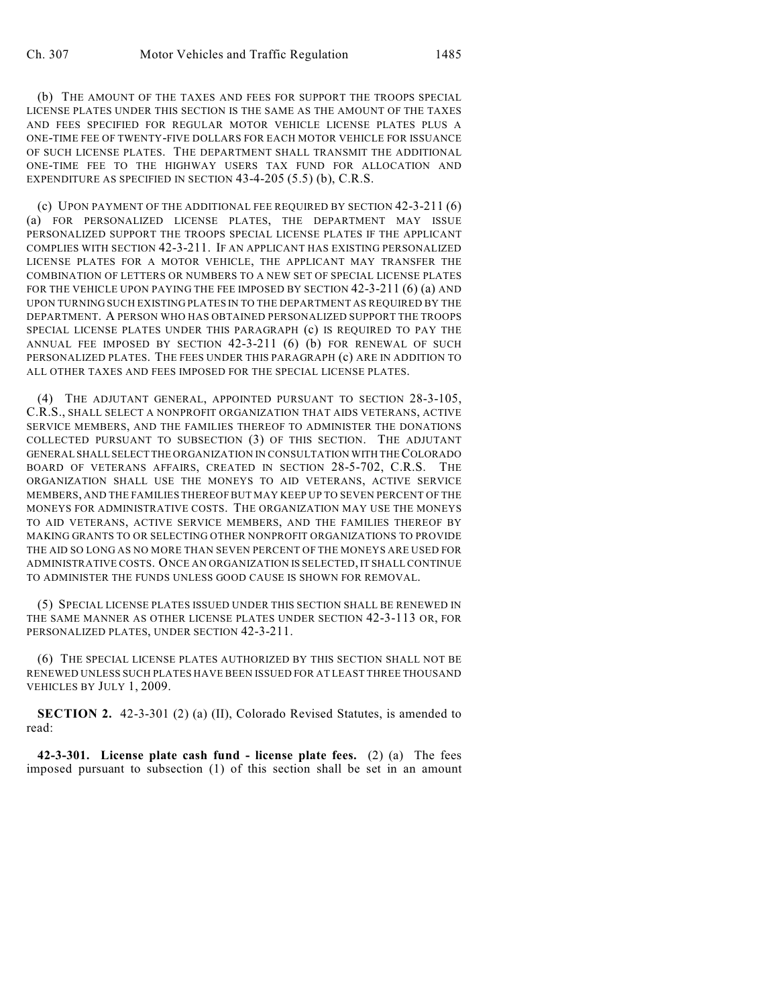(b) THE AMOUNT OF THE TAXES AND FEES FOR SUPPORT THE TROOPS SPECIAL LICENSE PLATES UNDER THIS SECTION IS THE SAME AS THE AMOUNT OF THE TAXES AND FEES SPECIFIED FOR REGULAR MOTOR VEHICLE LICENSE PLATES PLUS A ONE-TIME FEE OF TWENTY-FIVE DOLLARS FOR EACH MOTOR VEHICLE FOR ISSUANCE OF SUCH LICENSE PLATES. THE DEPARTMENT SHALL TRANSMIT THE ADDITIONAL ONE-TIME FEE TO THE HIGHWAY USERS TAX FUND FOR ALLOCATION AND EXPENDITURE AS SPECIFIED IN SECTION 43-4-205 (5.5) (b), C.R.S.

(c) UPON PAYMENT OF THE ADDITIONAL FEE REQUIRED BY SECTION 42-3-211 (6) (a) FOR PERSONALIZED LICENSE PLATES, THE DEPARTMENT MAY ISSUE PERSONALIZED SUPPORT THE TROOPS SPECIAL LICENSE PLATES IF THE APPLICANT COMPLIES WITH SECTION 42-3-211. IF AN APPLICANT HAS EXISTING PERSONALIZED LICENSE PLATES FOR A MOTOR VEHICLE, THE APPLICANT MAY TRANSFER THE COMBINATION OF LETTERS OR NUMBERS TO A NEW SET OF SPECIAL LICENSE PLATES FOR THE VEHICLE UPON PAYING THE FEE IMPOSED BY SECTION 42-3-211 (6) (a) AND UPON TURNING SUCH EXISTING PLATES IN TO THE DEPARTMENT AS REQUIRED BY THE DEPARTMENT. A PERSON WHO HAS OBTAINED PERSONALIZED SUPPORT THE TROOPS SPECIAL LICENSE PLATES UNDER THIS PARAGRAPH (c) IS REQUIRED TO PAY THE ANNUAL FEE IMPOSED BY SECTION 42-3-211 (6) (b) FOR RENEWAL OF SUCH PERSONALIZED PLATES. THE FEES UNDER THIS PARAGRAPH (c) ARE IN ADDITION TO ALL OTHER TAXES AND FEES IMPOSED FOR THE SPECIAL LICENSE PLATES.

(4) THE ADJUTANT GENERAL, APPOINTED PURSUANT TO SECTION 28-3-105, C.R.S., SHALL SELECT A NONPROFIT ORGANIZATION THAT AIDS VETERANS, ACTIVE SERVICE MEMBERS, AND THE FAMILIES THEREOF TO ADMINISTER THE DONATIONS COLLECTED PURSUANT TO SUBSECTION (3) OF THIS SECTION. THE ADJUTANT GENERAL SHALL SELECT THE ORGANIZATION IN CONSULTATION WITH THE COLORADO BOARD OF VETERANS AFFAIRS, CREATED IN SECTION 28-5-702, C.R.S. THE ORGANIZATION SHALL USE THE MONEYS TO AID VETERANS, ACTIVE SERVICE MEMBERS, AND THE FAMILIES THEREOFBUT MAY KEEP UP TO SEVEN PERCENT OF THE MONEYS FOR ADMINISTRATIVE COSTS. THE ORGANIZATION MAY USE THE MONEYS TO AID VETERANS, ACTIVE SERVICE MEMBERS, AND THE FAMILIES THEREOF BY MAKING GRANTS TO OR SELECTING OTHER NONPROFIT ORGANIZATIONS TO PROVIDE THE AID SO LONG AS NO MORE THAN SEVEN PERCENT OF THE MONEYS ARE USED FOR ADMINISTRATIVE COSTS. ONCE AN ORGANIZATION IS SELECTED, IT SHALL CONTINUE TO ADMINISTER THE FUNDS UNLESS GOOD CAUSE IS SHOWN FOR REMOVAL.

(5) SPECIAL LICENSE PLATES ISSUED UNDER THIS SECTION SHALL BE RENEWED IN THE SAME MANNER AS OTHER LICENSE PLATES UNDER SECTION 42-3-113 OR, FOR PERSONALIZED PLATES, UNDER SECTION 42-3-211.

(6) THE SPECIAL LICENSE PLATES AUTHORIZED BY THIS SECTION SHALL NOT BE RENEWED UNLESS SUCH PLATES HAVE BEEN ISSUED FOR AT LEAST THREE THOUSAND VEHICLES BY JULY 1, 2009.

**SECTION 2.** 42-3-301 (2) (a) (II), Colorado Revised Statutes, is amended to read:

**42-3-301. License plate cash fund - license plate fees.** (2) (a) The fees imposed pursuant to subsection (1) of this section shall be set in an amount